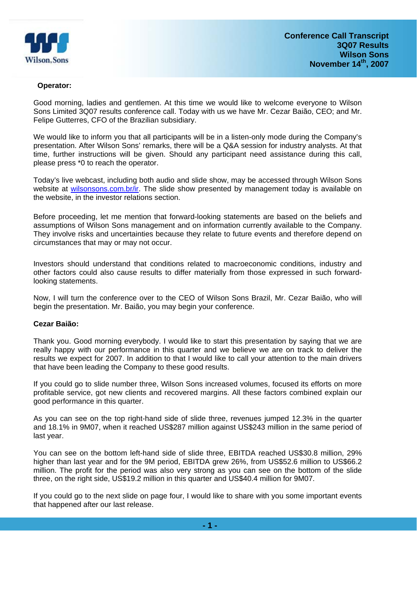

#### **Operator:**

Good morning, ladies and gentlemen. At this time we would like to welcome everyone to Wilson Sons Limited 3Q07 results conference call. Today with us we have Mr. Cezar Baião, CEO; and Mr. Felipe Gutterres, CFO of the Brazilian subsidiary.

We would like to inform you that all participants will be in a listen-only mode during the Company's presentation. After Wilson Sons' remarks, there will be a Q&A session for industry analysts. At that time, further instructions will be given. Should any participant need assistance during this call, please press \*0 to reach the operator.

Today's live webcast, including both audio and slide show, may be accessed through Wilson Sons website at wilsonsons.com.br/ir. The slide show presented by management today is available on the website, in the investor relations section.

Before proceeding, let me mention that forward-looking statements are based on the beliefs and assumptions of Wilson Sons management and on information currently available to the Company. They involve risks and uncertainties because they relate to future events and therefore depend on circumstances that may or may not occur.

Investors should understand that conditions related to macroeconomic conditions, industry and other factors could also cause results to differ materially from those expressed in such forwardlooking statements.

Now, I will turn the conference over to the CEO of Wilson Sons Brazil, Mr. Cezar Baião, who will begin the presentation. Mr. Baião, you may begin your conference.

#### **Cezar Baião:**

Thank you. Good morning everybody. I would like to start this presentation by saying that we are really happy with our performance in this quarter and we believe we are on track to deliver the results we expect for 2007. In addition to that I would like to call your attention to the main drivers that have been leading the Company to these good results.

If you could go to slide number three, Wilson Sons increased volumes, focused its efforts on more profitable service, got new clients and recovered margins. All these factors combined explain our good performance in this quarter.

As you can see on the top right-hand side of slide three, revenues jumped 12.3% in the quarter and 18.1% in 9M07, when it reached US\$287 million against US\$243 million in the same period of last year.

You can see on the bottom left-hand side of slide three, EBITDA reached US\$30.8 million, 29% higher than last year and for the 9M period, EBITDA grew 26%, from US\$52.6 million to US\$66.2 million. The profit for the period was also very strong as you can see on the bottom of the slide three, on the right side, US\$19.2 million in this quarter and US\$40.4 million for 9M07.

If you could go to the next slide on page four, I would like to share with you some important events that happened after our last release.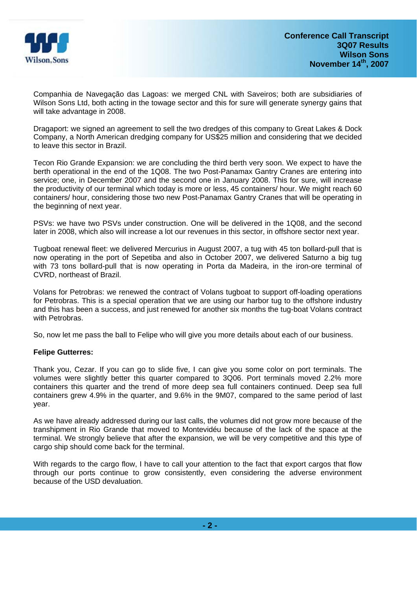

Companhia de Navegação das Lagoas: we merged CNL with Saveiros; both are subsidiaries of Wilson Sons Ltd, both acting in the towage sector and this for sure will generate synergy gains that will take advantage in 2008.

Dragaport: we signed an agreement to sell the two dredges of this company to Great Lakes & Dock Company, a North American dredging company for US\$25 million and considering that we decided to leave this sector in Brazil.

Tecon Rio Grande Expansion: we are concluding the third berth very soon. We expect to have the berth operational in the end of the 1Q08. The two Post-Panamax Gantry Cranes are entering into service; one, in December 2007 and the second one in January 2008. This for sure, will increase the productivity of our terminal which today is more or less, 45 containers/ hour. We might reach 60 containers/ hour, considering those two new Post-Panamax Gantry Cranes that will be operating in the beginning of next year.

PSVs: we have two PSVs under construction. One will be delivered in the 1Q08, and the second later in 2008, which also will increase a lot our revenues in this sector, in offshore sector next year.

Tugboat renewal fleet: we delivered Mercurius in August 2007, a tug with 45 ton bollard-pull that is now operating in the port of Sepetiba and also in October 2007, we delivered Saturno a big tug with 73 tons bollard-pull that is now operating in Porta da Madeira, in the iron-ore terminal of CVRD, northeast of Brazil.

Volans for Petrobras: we renewed the contract of Volans tugboat to support off-loading operations for Petrobras. This is a special operation that we are using our harbor tug to the offshore industry and this has been a success, and just renewed for another six months the tug-boat Volans contract with Petrobras.

So, now let me pass the ball to Felipe who will give you more details about each of our business.

## **Felipe Gutterres:**

Thank you, Cezar. If you can go to slide five, I can give you some color on port terminals. The volumes were slightly better this quarter compared to 3Q06. Port terminals moved 2.2% more containers this quarter and the trend of more deep sea full containers continued. Deep sea full containers grew 4.9% in the quarter, and 9.6% in the 9M07, compared to the same period of last year.

As we have already addressed during our last calls, the volumes did not grow more because of the transhipment in Rio Grande that moved to Montevidéu because of the lack of the space at the terminal. We strongly believe that after the expansion, we will be very competitive and this type of cargo ship should come back for the terminal.

With regards to the cargo flow, I have to call your attention to the fact that export cargos that flow through our ports continue to grow consistently, even considering the adverse environment because of the USD devaluation.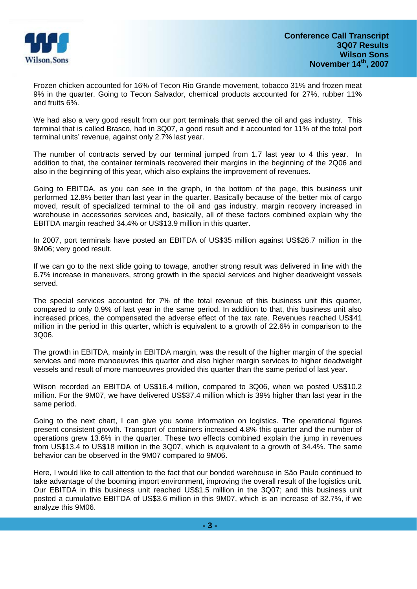

Frozen chicken accounted for 16% of Tecon Rio Grande movement, tobacco 31% and frozen meat 9% in the quarter. Going to Tecon Salvador, chemical products accounted for 27%, rubber 11% and fruits 6%.

We had also a very good result from our port terminals that served the oil and gas industry. This terminal that is called Brasco, had in 3Q07, a good result and it accounted for 11% of the total port terminal units' revenue, against only 2.7% last year.

The number of contracts served by our terminal jumped from 1.7 last year to 4 this year. In addition to that, the container terminals recovered their margins in the beginning of the 2Q06 and also in the beginning of this year, which also explains the improvement of revenues.

Going to EBITDA, as you can see in the graph, in the bottom of the page, this business unit performed 12.8% better than last year in the quarter. Basically because of the better mix of cargo moved, result of specialized terminal to the oil and gas industry, margin recovery increased in warehouse in accessories services and, basically, all of these factors combined explain why the EBITDA margin reached 34.4% or US\$13.9 million in this quarter.

In 2007, port terminals have posted an EBITDA of US\$35 million against US\$26.7 million in the 9M06; very good result.

If we can go to the next slide going to towage, another strong result was delivered in line with the 6.7% increase in maneuvers, strong growth in the special services and higher deadweight vessels served.

The special services accounted for 7% of the total revenue of this business unit this quarter, compared to only 0.9% of last year in the same period. In addition to that, this business unit also increased prices, the compensated the adverse effect of the tax rate. Revenues reached US\$41 million in the period in this quarter, which is equivalent to a growth of 22.6% in comparison to the 3Q06.

The growth in EBITDA, mainly in EBITDA margin, was the result of the higher margin of the special services and more manoeuvres this quarter and also higher margin services to higher deadweight vessels and result of more manoeuvres provided this quarter than the same period of last year.

Wilson recorded an EBITDA of US\$16.4 million, compared to 3Q06, when we posted US\$10.2 million. For the 9M07, we have delivered US\$37.4 million which is 39% higher than last year in the same period.

Going to the next chart, I can give you some information on logistics. The operational figures present consistent growth. Transport of containers increased 4.8% this quarter and the number of operations grew 13.6% in the quarter. These two effects combined explain the jump in revenues from US\$13.4 to US\$18 million in the 3Q07, which is equivalent to a growth of 34.4%. The same behavior can be observed in the 9M07 compared to 9M06.

Here, I would like to call attention to the fact that our bonded warehouse in São Paulo continued to take advantage of the booming import environment, improving the overall result of the logistics unit. Our EBITDA in this business unit reached US\$1.5 million in the 3Q07; and this business unit posted a cumulative EBITDA of US\$3.6 million in this 9M07, which is an increase of 32.7%, if we analyze this 9M06.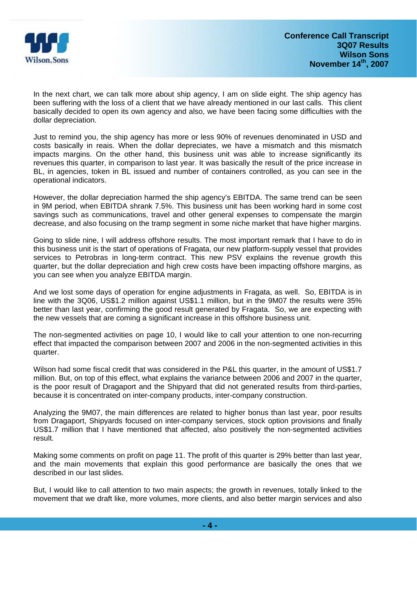

In the next chart, we can talk more about ship agency, I am on slide eight. The ship agency has been suffering with the loss of a client that we have already mentioned in our last calls. This client basically decided to open its own agency and also, we have been facing some difficulties with the dollar depreciation.

Just to remind you, the ship agency has more or less 90% of revenues denominated in USD and costs basically in reais. When the dollar depreciates, we have a mismatch and this mismatch impacts margins. On the other hand, this business unit was able to increase significantly its revenues this quarter, in comparison to last year. It was basically the result of the price increase in BL, in agencies, token in BL issued and number of containers controlled, as you can see in the operational indicators.

However, the dollar depreciation harmed the ship agency's EBITDA. The same trend can be seen in 9M period, when EBITDA shrank 7.5%. This business unit has been working hard in some cost savings such as communications, travel and other general expenses to compensate the margin decrease, and also focusing on the tramp segment in some niche market that have higher margins.

Going to slide nine, I will address offshore results. The most important remark that I have to do in this business unit is the start of operations of Fragata, our new platform-supply vessel that provides services to Petrobras in long-term contract. This new PSV explains the revenue growth this quarter, but the dollar depreciation and high crew costs have been impacting offshore margins, as you can see when you analyze EBITDA margin.

And we lost some days of operation for engine adjustments in Fragata, as well. So, EBITDA is in line with the 3Q06, US\$1.2 million against US\$1.1 million, but in the 9M07 the results were 35% better than last year, confirming the good result generated by Fragata. So, we are expecting with the new vessels that are coming a significant increase in this offshore business unit.

The non-segmented activities on page 10, I would like to call your attention to one non-recurring effect that impacted the comparison between 2007 and 2006 in the non-segmented activities in this quarter.

Wilson had some fiscal credit that was considered in the P&L this quarter, in the amount of US\$1.7 million. But, on top of this effect, what explains the variance between 2006 and 2007 in the quarter, is the poor result of Dragaport and the Shipyard that did not generated results from third-parties, because it is concentrated on inter-company products, inter-company construction.

Analyzing the 9M07, the main differences are related to higher bonus than last year, poor results from Dragaport, Shipyards focused on inter-company services, stock option provisions and finally US\$1.7 million that I have mentioned that affected, also positively the non-segmented activities result.

Making some comments on profit on page 11. The profit of this quarter is 29% better than last year, and the main movements that explain this good performance are basically the ones that we described in our last slides.

But, I would like to call attention to two main aspects; the growth in revenues, totally linked to the movement that we draft like, more volumes, more clients, and also better margin services and also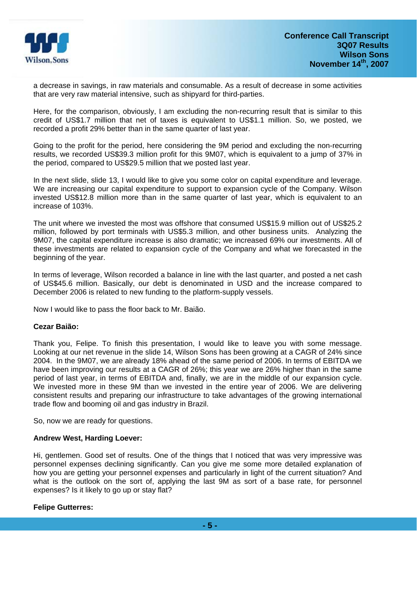

a decrease in savings, in raw materials and consumable. As a result of decrease in some activities that are very raw material intensive, such as shipyard for third-parties.

Here, for the comparison, obviously, I am excluding the non-recurring result that is similar to this credit of US\$1.7 million that net of taxes is equivalent to US\$1.1 million. So, we posted, we recorded a profit 29% better than in the same quarter of last year.

Going to the profit for the period, here considering the 9M period and excluding the non-recurring results, we recorded US\$39.3 million profit for this 9M07, which is equivalent to a jump of 37% in the period, compared to US\$29.5 million that we posted last year.

In the next slide, slide 13, I would like to give you some color on capital expenditure and leverage. We are increasing our capital expenditure to support to expansion cycle of the Company. Wilson invested US\$12.8 million more than in the same quarter of last year, which is equivalent to an increase of 103%.

The unit where we invested the most was offshore that consumed US\$15.9 million out of US\$25.2 million, followed by port terminals with US\$5.3 million, and other business units. Analyzing the 9M07, the capital expenditure increase is also dramatic; we increased 69% our investments. All of these investments are related to expansion cycle of the Company and what we forecasted in the beginning of the year.

In terms of leverage, Wilson recorded a balance in line with the last quarter, and posted a net cash of US\$45.6 million. Basically, our debt is denominated in USD and the increase compared to December 2006 is related to new funding to the platform-supply vessels.

Now I would like to pass the floor back to Mr. Baião.

## **Cezar Baião:**

Thank you, Felipe. To finish this presentation, I would like to leave you with some message. Looking at our net revenue in the slide 14, Wilson Sons has been growing at a CAGR of 24% since 2004. In the 9M07, we are already 18% ahead of the same period of 2006. In terms of EBITDA we have been improving our results at a CAGR of 26%; this year we are 26% higher than in the same period of last year, in terms of EBITDA and, finally, we are in the middle of our expansion cycle. We invested more in these 9M than we invested in the entire year of 2006. We are delivering consistent results and preparing our infrastructure to take advantages of the growing international trade flow and booming oil and gas industry in Brazil.

So, now we are ready for questions.

## **Andrew West, Harding Loever:**

Hi, gentlemen. Good set of results. One of the things that I noticed that was very impressive was personnel expenses declining significantly. Can you give me some more detailed explanation of how you are getting your personnel expenses and particularly in light of the current situation? And what is the outlook on the sort of, applying the last 9M as sort of a base rate, for personnel expenses? Is it likely to go up or stay flat?

## **Felipe Gutterres:**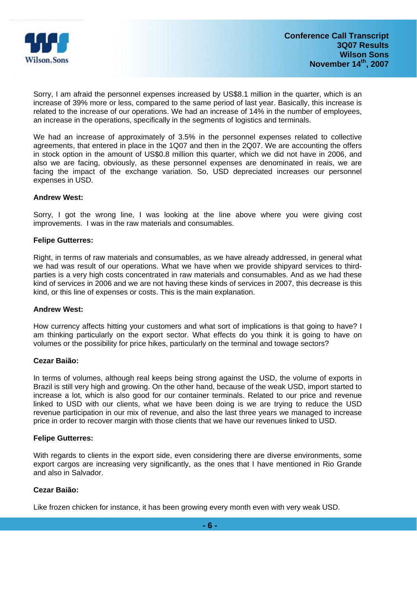

Sorry, I am afraid the personnel expenses increased by US\$8.1 million in the quarter, which is an increase of 39% more or less, compared to the same period of last year. Basically, this increase is related to the increase of our operations. We had an increase of 14% in the number of employees, an increase in the operations, specifically in the segments of logistics and terminals.

We had an increase of approximately of 3.5% in the personnel expenses related to collective agreements, that entered in place in the 1Q07 and then in the 2Q07. We are accounting the offers in stock option in the amount of US\$0.8 million this quarter, which we did not have in 2006, and also we are facing, obviously, as these personnel expenses are denominated in reais, we are facing the impact of the exchange variation. So, USD depreciated increases our personnel expenses in USD.

#### **Andrew West:**

Sorry, I got the wrong line, I was looking at the line above where you were giving cost improvements. I was in the raw materials and consumables.

#### **Felipe Gutterres:**

Right, in terms of raw materials and consumables, as we have already addressed, in general what we had was result of our operations. What we have when we provide shipyard services to thirdparties is a very high costs concentrated in raw materials and consumables. And as we had these kind of services in 2006 and we are not having these kinds of services in 2007, this decrease is this kind, or this line of expenses or costs. This is the main explanation.

#### **Andrew West:**

How currency affects hitting your customers and what sort of implications is that going to have? I am thinking particularly on the export sector. What effects do you think it is going to have on volumes or the possibility for price hikes, particularly on the terminal and towage sectors?

#### **Cezar Baião:**

In terms of volumes, although real keeps being strong against the USD, the volume of exports in Brazil is still very high and growing. On the other hand, because of the weak USD, import started to increase a lot, which is also good for our container terminals. Related to our price and revenue linked to USD with our clients, what we have been doing is we are trying to reduce the USD revenue participation in our mix of revenue, and also the last three years we managed to increase price in order to recover margin with those clients that we have our revenues linked to USD.

## **Felipe Gutterres:**

With regards to clients in the export side, even considering there are diverse environments, some export cargos are increasing very significantly, as the ones that I have mentioned in Rio Grande and also in Salvador.

## **Cezar Baião:**

Like frozen chicken for instance, it has been growing every month even with very weak USD.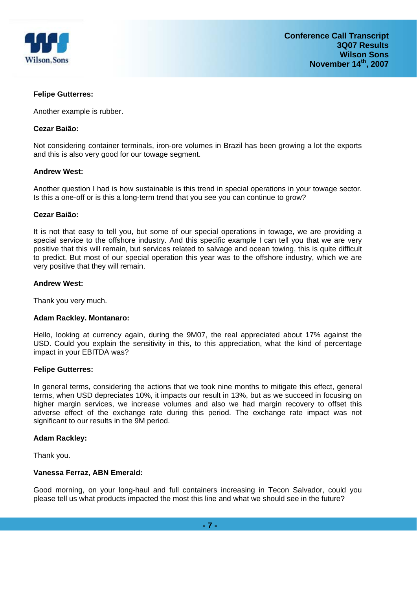

## **Felipe Gutterres:**

Another example is rubber.

#### **Cezar Baião:**

Not considering container terminals, iron-ore volumes in Brazil has been growing a lot the exports and this is also very good for our towage segment.

#### **Andrew West:**

Another question I had is how sustainable is this trend in special operations in your towage sector. Is this a one-off or is this a long-term trend that you see you can continue to grow?

#### **Cezar Baião:**

It is not that easy to tell you, but some of our special operations in towage, we are providing a special service to the offshore industry. And this specific example I can tell you that we are very positive that this will remain, but services related to salvage and ocean towing, this is quite difficult to predict. But most of our special operation this year was to the offshore industry, which we are very positive that they will remain.

#### **Andrew West:**

Thank you very much.

## **Adam Rackley. Montanaro:**

Hello, looking at currency again, during the 9M07, the real appreciated about 17% against the USD. Could you explain the sensitivity in this, to this appreciation, what the kind of percentage impact in your EBITDA was?

#### **Felipe Gutterres:**

In general terms, considering the actions that we took nine months to mitigate this effect, general terms, when USD depreciates 10%, it impacts our result in 13%, but as we succeed in focusing on higher margin services, we increase volumes and also we had margin recovery to offset this adverse effect of the exchange rate during this period. The exchange rate impact was not significant to our results in the 9M period.

## **Adam Rackley:**

Thank you.

## **Vanessa Ferraz, ABN Emerald:**

Good morning, on your long-haul and full containers increasing in Tecon Salvador, could you please tell us what products impacted the most this line and what we should see in the future?